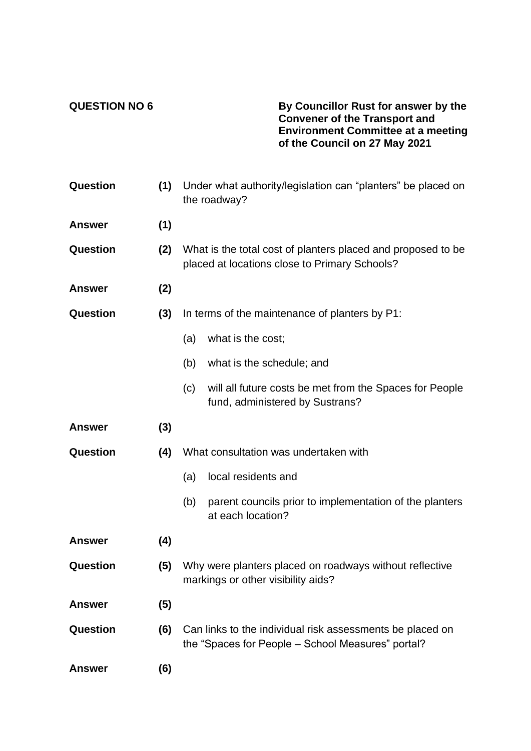**QUESTION NO 6 By Councillor Rust for answer by the Convener of the Transport and Environment Committee at a meeting of the Council on 27 May 2021**

| <b>Question</b> | (1) | Under what authority/legislation can "planters" be placed on<br>the roadway?                                  |                                                                                                                |
|-----------------|-----|---------------------------------------------------------------------------------------------------------------|----------------------------------------------------------------------------------------------------------------|
| <b>Answer</b>   | (1) |                                                                                                               |                                                                                                                |
| <b>Question</b> | (2) | What is the total cost of planters placed and proposed to be<br>placed at locations close to Primary Schools? |                                                                                                                |
| <b>Answer</b>   | (2) |                                                                                                               |                                                                                                                |
| <b>Question</b> | (3) | In terms of the maintenance of planters by P1:                                                                |                                                                                                                |
|                 |     | (a)                                                                                                           | what is the cost;                                                                                              |
|                 |     | (b)                                                                                                           | what is the schedule; and                                                                                      |
|                 |     | (c)                                                                                                           | will all future costs be met from the Spaces for People<br>fund, administered by Sustrans?                     |
| <b>Answer</b>   | (3) |                                                                                                               |                                                                                                                |
| <b>Question</b> | (4) | What consultation was undertaken with                                                                         |                                                                                                                |
|                 |     | (a)                                                                                                           | local residents and                                                                                            |
|                 |     | (b)                                                                                                           | parent councils prior to implementation of the planters<br>at each location?                                   |
| <b>Answer</b>   | (4) |                                                                                                               |                                                                                                                |
| Question        | (5) | Why were planters placed on roadways without reflective<br>markings or other visibility aids?                 |                                                                                                                |
| <b>Answer</b>   | (5) |                                                                                                               |                                                                                                                |
| <b>Question</b> | (6) |                                                                                                               | Can links to the individual risk assessments be placed on<br>the "Spaces for People - School Measures" portal? |
| <b>Answer</b>   | (6) |                                                                                                               |                                                                                                                |